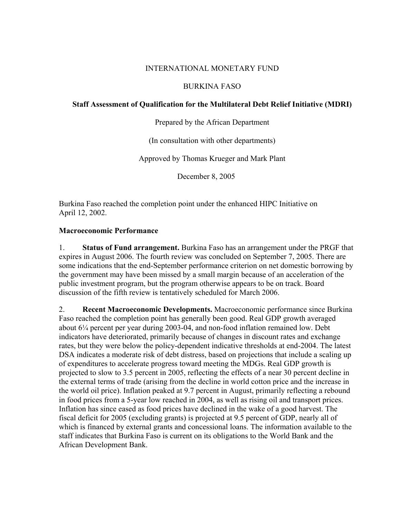## INTERNATIONAL MONETARY FUND

## BURKINA FASO

## **Staff Assessment of Qualification for the Multilateral Debt Relief Initiative (MDRI)**

Prepared by the African Department

(In consultation with other departments)

Approved by Thomas Krueger and Mark Plant

December 8, 2005

Burkina Faso reached the completion point under the enhanced HIPC Initiative on April 12, 2002.

## **Macroeconomic Performance**

1. **Status of Fund arrangement.** Burkina Faso has an arrangement under the PRGF that expires in August 2006. The fourth review was concluded on September 7, 2005. There are some indications that the end-September performance criterion on net domestic borrowing by the government may have been missed by a small margin because of an acceleration of the public investment program, but the program otherwise appears to be on track. Board discussion of the fifth review is tentatively scheduled for March 2006.

2. **Recent Macroeconomic Developments.** Macroeconomic performance since Burkina Faso reached the completion point has generally been good. Real GDP growth averaged about 6¼ percent per year during 2003-04, and non-food inflation remained low. Debt indicators have deteriorated, primarily because of changes in discount rates and exchange rates, but they were below the policy-dependent indicative thresholds at end-2004. The latest DSA indicates a moderate risk of debt distress, based on projections that include a scaling up of expenditures to accelerate progress toward meeting the MDGs. Real GDP growth is projected to slow to 3.5 percent in 2005, reflecting the effects of a near 30 percent decline in the external terms of trade (arising from the decline in world cotton price and the increase in the world oil price). Inflation peaked at 9.7 percent in August, primarily reflecting a rebound in food prices from a 5-year low reached in 2004, as well as rising oil and transport prices. Inflation has since eased as food prices have declined in the wake of a good harvest. The fiscal deficit for 2005 (excluding grants) is projected at 9.5 percent of GDP, nearly all of which is financed by external grants and concessional loans. The information available to the staff indicates that Burkina Faso is current on its obligations to the World Bank and the African Development Bank.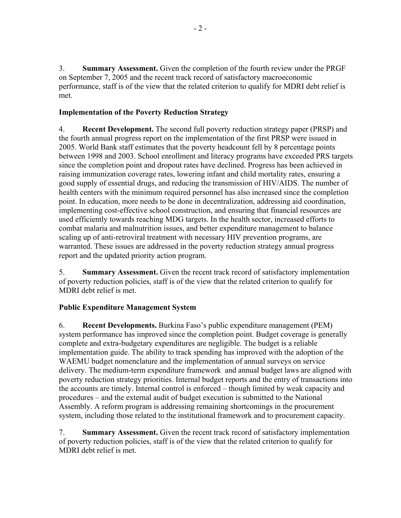3. **Summary Assessment.** Given the completion of the fourth review under the PRGF on September 7, 2005 and the recent track record of satisfactory macroeconomic performance, staff is of the view that the related criterion to qualify for MDRI debt relief is met.

## **Implementation of the Poverty Reduction Strategy**

4. **Recent Development.** The second full poverty reduction strategy paper (PRSP) and the fourth annual progress report on the implementation of the first PRSP were issued in 2005. World Bank staff estimates that the poverty headcount fell by 8 percentage points between 1998 and 2003. School enrollment and literacy programs have exceeded PRS targets since the completion point and dropout rates have declined. Progress has been achieved in raising immunization coverage rates, lowering infant and child mortality rates, ensuring a good supply of essential drugs, and reducing the transmission of HIV/AIDS. The number of health centers with the minimum required personnel has also increased since the completion point. In education, more needs to be done in decentralization, addressing aid coordination, implementing cost-effective school construction, and ensuring that financial resources are used efficiently towards reaching MDG targets. In the health sector, increased efforts to combat malaria and malnutrition issues, and better expenditure management to balance scaling up of anti-retroviral treatment with necessary HIV prevention programs, are warranted. These issues are addressed in the poverty reduction strategy annual progress report and the updated priority action program.

5. **Summary Assessment.** Given the recent track record of satisfactory implementation of poverty reduction policies, staff is of the view that the related criterion to qualify for MDRI debt relief is met.

# **Public Expenditure Management System**

6. **Recent Developments.** Burkina Faso's public expenditure management (PEM) system performance has improved since the completion point. Budget coverage is generally complete and extra-budgetary expenditures are negligible. The budget is a reliable implementation guide. The ability to track spending has improved with the adoption of the WAEMU budget nomenclature and the implementation of annual surveys on service delivery. The medium-term expenditure framework and annual budget laws are aligned with poverty reduction strategy priorities. Internal budget reports and the entry of transactions into the accounts are timely. Internal control is enforced – though limited by weak capacity and procedures – and the external audit of budget execution is submitted to the National Assembly. A reform program is addressing remaining shortcomings in the procurement system, including those related to the institutional framework and to procurement capacity.

7. **Summary Assessment.** Given the recent track record of satisfactory implementation of poverty reduction policies, staff is of the view that the related criterion to qualify for MDRI debt relief is met.